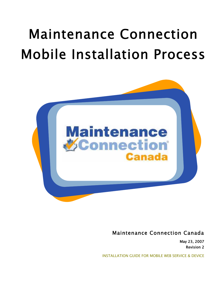# Maintenance Connection Mobile Installation Process



Maintenance Connection Canada

May 23, 2007 Revision 2

INSTALLATION GUIDE FOR MOBILE WEB SERVICE & DEVICE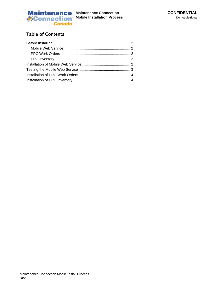

### Table of Contents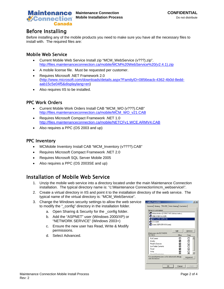

# Before Installing

Before installing any of the mobile products you need to make sure you have all the necessary files to install with. The required files are:

#### Mobile Web Service

- Current Mobile Web Service Install zip "MCM\_WebService (v???).zip". http://files.maintenanceconnection.ca/mobile/MCM%20WebService%20(v2.4.1).zip
- A mobile license file. Must be requested per customer.
- Requires Microsoft .NET Framework 2.0 (http://www.microsoft.com/downloads/details.aspx?FamilyID=0856eacb-4362-4b0d-8eddaab15c5e04f5&displaylang=en)
- Also requires IIS to be installed.

#### PPC Work Orders

- Current Mobile Work Orders Install CAB "MCM\_WO (v???).CAB" http://files.maintenanceconnection.ca/mobile/MCM\_WO\_v21.CAB
- Requires Microsoft Compact Framework .NET 1.0 http://files.maintenanceconnection.ca/mobile/NETCFv1.WCE.ARMV4.CAB
- Also requires a PPC (OS 2003 and up)

#### PPC Inventory

- MCMobile Inventory Install CAB "MCM\_Inventory (v????).CAB"
- Requires Microsoft Compact Framework .NET 2.0
- Requires Microsoft SQL Server Mobile 2005
- Also requires a PPC (OS 2003SE and up)

# Installation of Mobile Web Service

- 1. Unzip the mobile web service into a directory located under the main Maintenance Connection installation. The typical directory name is: "c:\Maintenance Connection\mcm\_webservice\".
- 2. Create a virtual directory in IIS and point it to the installation directory of the web service. The typical name of the virtual directory is: "MCM\_WebService".
- 3. Change the Windows security settings to allow the web service to modify the "\_config" directory in the installation folder.
	- a. Open Sharing & Security for the config folder.
	- b. Add the "ASPNET" user (Windows 2000/XP) or "NETWORK SERVICE" (Windows 2003+)
	- c. Ensure the new user has Read, Write & Modify permissions.
	- d. Select Advanced.

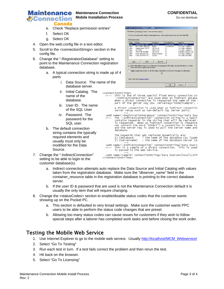

#### **Maintenance Connection CONFIDENTIAL Connection** Mobile Installation Process Do not distribute

- e. Check "Replace permission entries"
- f. Select OK
- g. Select OK
- 4. Open the web.config file in a text editor.
- 5. Scroll to the <connectionStrings> section in the config file.
- 6. Change the "-RegistrationDatabase" setting to point to the Maintenance Connection registration database.
	- a. A typical connection string is made up of 4 parts
		- i. Data Source. The name of the database server.
		- ii. Initial Catalog. The name of the database.
		- iii. User ID. The name of the SQL User
		- iv. Password. The password for the SQL user.
	- b. The default connection string contains the typically required elements and usually must only be modified for the Data Source.
- 7. Change the "-IndirectConnection" setting to be able to login to the customer database(s).

| Type  | Name                                                                                                                                                       | Permission                | <b>Inherited From</b>    | Apply To                                                                                                 |
|-------|------------------------------------------------------------------------------------------------------------------------------------------------------------|---------------------------|--------------------------|----------------------------------------------------------------------------------------------------------|
| Allow | Administrators (SERV                                                                                                                                       | <b>Full Control</b>       | <not inherited=""></not> | This folder only                                                                                         |
| Allow | NETWORK SERVICE                                                                                                                                            | Modify                    | <nnt inherited=""></nnt> | This folder, subfolders                                                                                  |
| Allow | Administrators (SERV                                                                                                                                       | Full Control              | C۸                       | This folder, subfolders                                                                                  |
| Allow | SYSTEM                                                                                                                                                     | Full Control              | C۸                       | This folder, subfolders                                                                                  |
| Allow | CREATOR OWNER                                                                                                                                              | <b>Full Control</b>       | CA.                      | Subfolders and files only                                                                                |
| Allow | Users (SERVER-IIS\                                                                                                                                         | <b>Read &amp; Execute</b> | C٨                       | This folder, subfolders                                                                                  |
| Allow | Users (SERVER-IIS\                                                                                                                                         | Special                   | C۸                       | This folder and subfol                                                                                   |
| Add   | Edit<br>these with entries explicitly defined here.<br>Replace permission entries on all child objects with entries shown here that apply to child objects | Remove<br>۲Ķ              |                          | Allow inheritable permissions from the parent to propagate to this object and all child objects. Include |

<connectionStrings>

- ctionstrings><br>This is one of three special fixed entry connection str<br>"-IndirectConnection" are used when an indirect databa:<br>when a direct connection is requested the name of the  $\alpha$ <br>part of the gerver key (ex. serverkey
- A direct connection is used when an indirect connection<br>server setup such as non-default SQL Server ports.
- <add name="--RegistrationDatabase" connectionString="Data Sour<br><!-- The "-IndirectConnection" connection string is a special<br>contains keywords in the string that will be replaced a<br>is requested. When an indirect connection
	- The keywords that get replaced dynamically are:<br>1) {database} the name of the database (as loaded<br>2) {servername} the name of the database server (as
	-
- 
- <add name="sample" connectionString="Data Source=(local);Init </connectionStrings>
- a. Indirect connection attempts auto replace the Data Source and Initial Catalog with values taken from the registration database. Make sure the "dbserver\_name" field in the container resource table in the registration database is pointing to the correct database server.
- b. If the user ID & password that are used is not the Maintenance Connection default it is usually the only item that will require changing.
- 8. Change the <statusCodes> section to enable/disable status codes that the customer wants showing up on the Pocket PC.
	- a. This section is defaulted to very broad settings. Make sure the customer wants PPC users to be able to perform the status code changes that are preset.
	- b. Allowing too many status codes can cause issues for customers if they wish to follow special steps after a laborer has completed work tasks and before closing the work order.

## Testing the Mobile Web Service

- 1. Use Internet Explorer to go to the mobile web service. Usually http://localhost/MCM\_Webservice/
- 2. Select "Go To Testing"
- 3. Run each test in turn. If a test fails correct the problem and then rerun the test.
- 4. Hit back on the browser.
- 5. Select "Go To Licensing"

 $\sim$